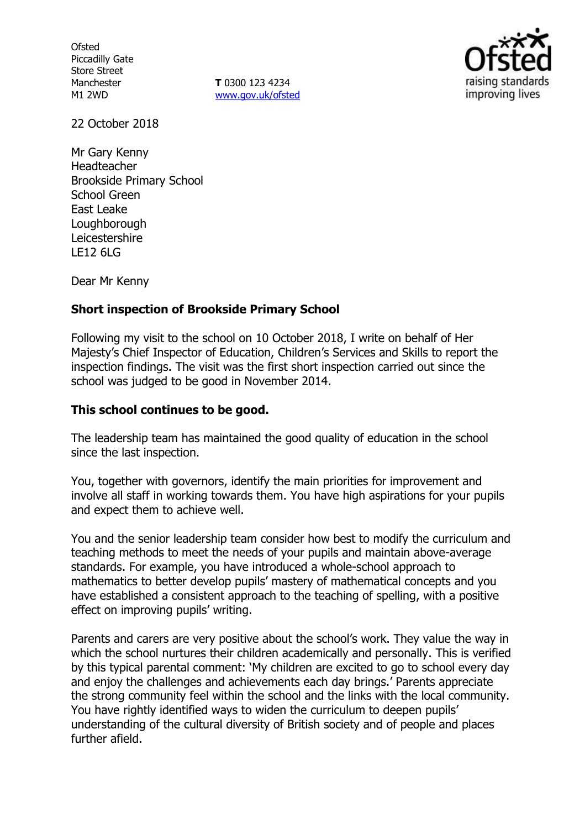**Ofsted** Piccadilly Gate Store Street Manchester M1 2WD

**T** 0300 123 4234 www.gov.uk/ofsted



22 October 2018

Mr Gary Kenny Headteacher Brookside Primary School School Green East Leake Loughborough Leicestershire LE12 6LG

Dear Mr Kenny

### **Short inspection of Brookside Primary School**

Following my visit to the school on 10 October 2018, I write on behalf of Her Majesty's Chief Inspector of Education, Children's Services and Skills to report the inspection findings. The visit was the first short inspection carried out since the school was judged to be good in November 2014.

#### **This school continues to be good.**

The leadership team has maintained the good quality of education in the school since the last inspection.

You, together with governors, identify the main priorities for improvement and involve all staff in working towards them. You have high aspirations for your pupils and expect them to achieve well.

You and the senior leadership team consider how best to modify the curriculum and teaching methods to meet the needs of your pupils and maintain above-average standards. For example, you have introduced a whole-school approach to mathematics to better develop pupils' mastery of mathematical concepts and you have established a consistent approach to the teaching of spelling, with a positive effect on improving pupils' writing.

Parents and carers are very positive about the school's work. They value the way in which the school nurtures their children academically and personally. This is verified by this typical parental comment: 'My children are excited to go to school every day and enjoy the challenges and achievements each day brings.' Parents appreciate the strong community feel within the school and the links with the local community. You have rightly identified ways to widen the curriculum to deepen pupils' understanding of the cultural diversity of British society and of people and places further afield.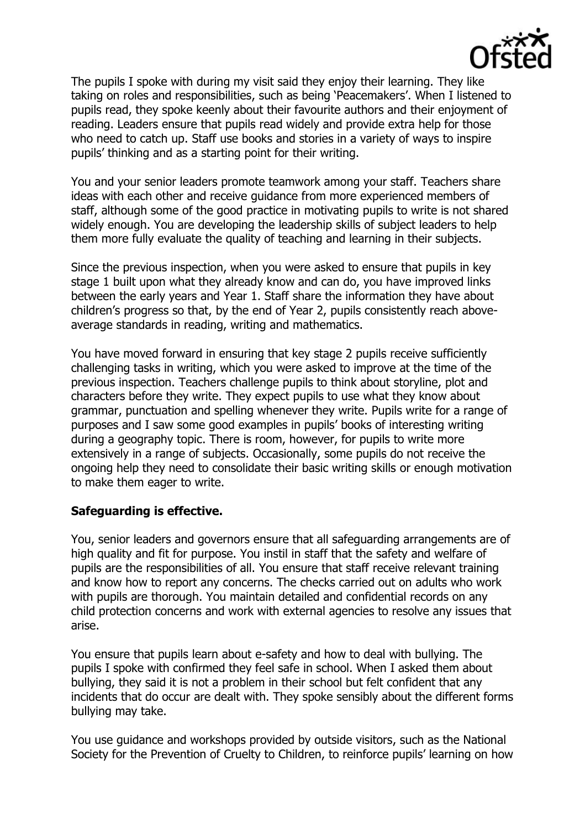

The pupils I spoke with during my visit said they enjoy their learning. They like taking on roles and responsibilities, such as being 'Peacemakers'. When I listened to pupils read, they spoke keenly about their favourite authors and their enjoyment of reading. Leaders ensure that pupils read widely and provide extra help for those who need to catch up. Staff use books and stories in a variety of ways to inspire pupils' thinking and as a starting point for their writing.

You and your senior leaders promote teamwork among your staff. Teachers share ideas with each other and receive guidance from more experienced members of staff, although some of the good practice in motivating pupils to write is not shared widely enough. You are developing the leadership skills of subject leaders to help them more fully evaluate the quality of teaching and learning in their subjects.

Since the previous inspection, when you were asked to ensure that pupils in key stage 1 built upon what they already know and can do, you have improved links between the early years and Year 1. Staff share the information they have about children's progress so that, by the end of Year 2, pupils consistently reach aboveaverage standards in reading, writing and mathematics.

You have moved forward in ensuring that key stage 2 pupils receive sufficiently challenging tasks in writing, which you were asked to improve at the time of the previous inspection. Teachers challenge pupils to think about storyline, plot and characters before they write. They expect pupils to use what they know about grammar, punctuation and spelling whenever they write. Pupils write for a range of purposes and I saw some good examples in pupils' books of interesting writing during a geography topic. There is room, however, for pupils to write more extensively in a range of subjects. Occasionally, some pupils do not receive the ongoing help they need to consolidate their basic writing skills or enough motivation to make them eager to write.

### **Safeguarding is effective.**

You, senior leaders and governors ensure that all safeguarding arrangements are of high quality and fit for purpose. You instil in staff that the safety and welfare of pupils are the responsibilities of all. You ensure that staff receive relevant training and know how to report any concerns. The checks carried out on adults who work with pupils are thorough. You maintain detailed and confidential records on any child protection concerns and work with external agencies to resolve any issues that arise.

You ensure that pupils learn about e-safety and how to deal with bullying. The pupils I spoke with confirmed they feel safe in school. When I asked them about bullying, they said it is not a problem in their school but felt confident that any incidents that do occur are dealt with. They spoke sensibly about the different forms bullying may take.

You use guidance and workshops provided by outside visitors, such as the National Society for the Prevention of Cruelty to Children, to reinforce pupils' learning on how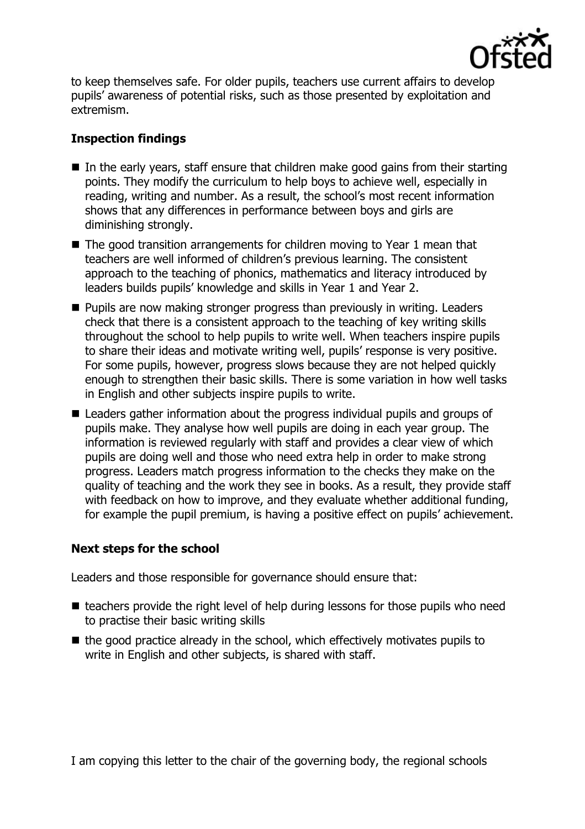

to keep themselves safe. For older pupils, teachers use current affairs to develop pupils' awareness of potential risks, such as those presented by exploitation and extremism.

# **Inspection findings**

- $\blacksquare$  In the early years, staff ensure that children make good gains from their starting points. They modify the curriculum to help boys to achieve well, especially in reading, writing and number. As a result, the school's most recent information shows that any differences in performance between boys and girls are diminishing strongly.
- The good transition arrangements for children moving to Year 1 mean that teachers are well informed of children's previous learning. The consistent approach to the teaching of phonics, mathematics and literacy introduced by leaders builds pupils' knowledge and skills in Year 1 and Year 2.
- **Pupils are now making stronger progress than previously in writing. Leaders** check that there is a consistent approach to the teaching of key writing skills throughout the school to help pupils to write well. When teachers inspire pupils to share their ideas and motivate writing well, pupils' response is very positive. For some pupils, however, progress slows because they are not helped quickly enough to strengthen their basic skills. There is some variation in how well tasks in English and other subjects inspire pupils to write.
- Leaders gather information about the progress individual pupils and groups of pupils make. They analyse how well pupils are doing in each year group. The information is reviewed regularly with staff and provides a clear view of which pupils are doing well and those who need extra help in order to make strong progress. Leaders match progress information to the checks they make on the quality of teaching and the work they see in books. As a result, they provide staff with feedback on how to improve, and they evaluate whether additional funding, for example the pupil premium, is having a positive effect on pupils' achievement.

# **Next steps for the school**

Leaders and those responsible for governance should ensure that:

- $\blacksquare$  teachers provide the right level of help during lessons for those pupils who need to practise their basic writing skills
- $\blacksquare$  the good practice already in the school, which effectively motivates pupils to write in English and other subjects, is shared with staff.

I am copying this letter to the chair of the governing body, the regional schools